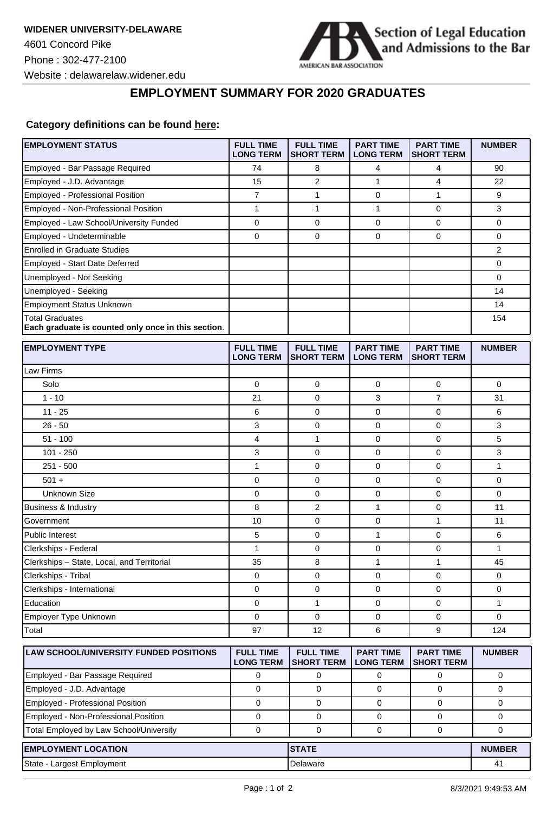

## **EMPLOYMENT SUMMARY FOR 2020 GRADUATES**

## **Category definitions can be found [here:](https://www.americanbar.org/content/dam/aba/administrative/legal_education_and_admissions_to_the_bar/Questionnaires/employment-protocol-class-of-2020.pdf)**

| <b>EMPLOYMENT STATUS</b>                                                      | <b>FULL TIME</b><br><b>LONG TERM</b> | <b>FULL TIME</b><br><b>SHORT TERM</b> | <b>PART TIME</b><br><b>LONG TERM</b> | <b>PART TIME</b><br><b>SHORT TERM</b> | <b>NUMBER</b>  |
|-------------------------------------------------------------------------------|--------------------------------------|---------------------------------------|--------------------------------------|---------------------------------------|----------------|
| Employed - Bar Passage Required                                               | 74                                   | 8                                     | 4                                    | 4                                     | 90             |
| Employed - J.D. Advantage                                                     | 15                                   | 2                                     | 1                                    | 4                                     | 22             |
| <b>Employed - Professional Position</b>                                       | $\overline{7}$                       | $\mathbf{1}$                          | 0                                    | $\mathbf{1}$                          | 9              |
| Employed - Non-Professional Position                                          | $\mathbf{1}$                         | $\mathbf{1}$                          | 1                                    | 0                                     | 3              |
| Employed - Law School/University Funded                                       | $\pmb{0}$                            | 0                                     | $\mathbf 0$                          | $\pmb{0}$                             | 0              |
| Employed - Undeterminable                                                     | $\mathbf 0$                          | $\mathbf 0$                           | 0                                    | $\mathbf 0$                           | 0              |
| <b>Enrolled in Graduate Studies</b>                                           |                                      |                                       |                                      |                                       | $\overline{2}$ |
| Employed - Start Date Deferred                                                |                                      |                                       |                                      |                                       | 0              |
| Unemployed - Not Seeking                                                      |                                      |                                       |                                      |                                       | 0              |
| Unemployed - Seeking                                                          |                                      |                                       |                                      |                                       | 14             |
| <b>Employment Status Unknown</b>                                              |                                      |                                       |                                      |                                       | 14             |
| <b>Total Graduates</b><br>Each graduate is counted only once in this section. |                                      |                                       |                                      |                                       | 154            |
| <b>EMPLOYMENT TYPE</b>                                                        | <b>FULL TIME</b><br><b>LONG TERM</b> | <b>FULL TIME</b><br><b>SHORT TERM</b> | <b>PART TIME</b><br><b>LONG TERM</b> | <b>PART TIME</b><br><b>SHORT TERM</b> | <b>NUMBER</b>  |
| Law Firms                                                                     |                                      |                                       |                                      |                                       |                |
| Solo                                                                          | 0                                    | 0                                     | 0                                    | 0                                     | 0              |
| $1 - 10$                                                                      | 21                                   | $\mathbf 0$                           | 3                                    | $\overline{7}$                        | 31             |
| $11 - 25$                                                                     | 6                                    | 0                                     | 0                                    | $\mathbf 0$                           | 6              |
| $26 - 50$                                                                     | 3                                    | 0                                     | 0                                    | $\mathbf 0$                           | 3              |
| $51 - 100$                                                                    | 4                                    | $\mathbf{1}$                          | 0                                    | $\mathbf 0$                           | 5              |
| $101 - 250$                                                                   | 3                                    | 0                                     | $\mathbf 0$                          | $\mathbf 0$                           | 3              |
| $251 - 500$                                                                   | 1                                    | 0                                     | 0                                    | $\mathbf 0$                           | 1              |
| $501 +$                                                                       | 0                                    | 0                                     | 0                                    | 0                                     | 0              |
| <b>Unknown Size</b>                                                           | $\pmb{0}$                            | 0                                     | $\pmb{0}$                            | $\mathbf 0$                           | 0              |
| <b>Business &amp; Industry</b>                                                | 8                                    | $\overline{2}$                        | 1                                    | 0                                     | 11             |
| Government                                                                    | 10                                   | $\mathbf 0$                           | 0                                    | $\mathbf{1}$                          | 11             |
| Public Interest                                                               | 5                                    | 0                                     | 1                                    | 0                                     | 6              |
| Clerkships - Federal                                                          | $\mathbf{1}$                         | 0                                     | $\mathbf 0$                          | 0                                     | $\mathbf{1}$   |
| Clerkships - State, Local, and Territorial                                    | 35                                   | 8                                     | $\mathbf{1}$                         | 1                                     | 45             |
| Clerkships - Tribal                                                           | 0                                    | 0                                     | 0                                    | $\mathbf 0$                           | 0              |
| Clerkships - International                                                    | 0                                    | 0                                     | 0                                    | $\mathbf 0$                           | 0              |
| Education                                                                     | 0                                    | 1                                     | 0                                    | 0                                     | 1              |
| Employer Type Unknown                                                         | 0                                    | $\mathbf{0}$                          | $\mathbf 0$                          | $\mathbf 0$                           | 0              |
| Total                                                                         | 97                                   | 12                                    | 6                                    | 9                                     | 124            |
| LAW SCHOOL/UNIVERSITY FUNDED POSITIONS                                        | <b>FULL TIME</b><br><b>LONG TERM</b> | <b>FULL TIME</b><br><b>SHORT TERM</b> | <b>PART TIME</b><br><b>LONG TERM</b> | <b>PART TIME</b><br><b>SHORT TERM</b> | <b>NUMBER</b>  |
| Employed - Bar Passage Required                                               | 0                                    | 0                                     | 0                                    | 0                                     | 0              |
| Employed - J.D. Advantage                                                     | $\mathbf 0$                          | $\mathbf 0$                           | 0                                    | $\mathbf 0$                           | 0              |
| <b>Employed - Professional Position</b>                                       | $\mathbf 0$                          | $\mathbf 0$                           | 0                                    | 0                                     | 0              |
| Employed - Non-Professional Position                                          | 0                                    | $\mathbf 0$                           | 0                                    | 0                                     | 0              |
| Total Employed by Law School/University                                       | 0                                    | 0                                     | 0                                    | 0                                     | 0              |
| <b>EMPLOYMENT LOCATION</b>                                                    |                                      | <b>STATE</b>                          |                                      |                                       | <b>NUMBER</b>  |
| State - Largest Employment                                                    |                                      | Delaware                              |                                      |                                       | 41             |
|                                                                               |                                      |                                       |                                      |                                       |                |